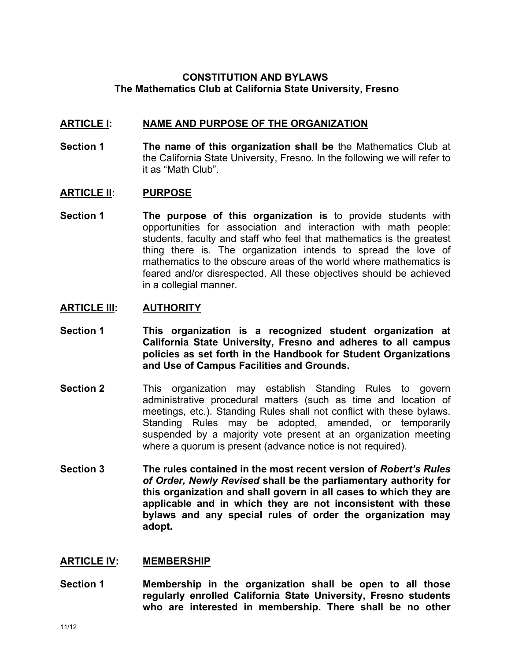# **CONSTITUTION AND BYLAWS The Mathematics Club at California State University, Fresno**

## **ARTICLE I: NAME AND PURPOSE OF THE ORGANIZATION**

**Section 1 The name of this organization shall be** the Mathematics Club at the California State University, Fresno. In the following we will refer to it as "Math Club".

### **ARTICLE II: PURPOSE**

**Section 1 The purpose of this organization is** to provide students with opportunities for association and interaction with math people: students, faculty and staff who feel that mathematics is the greatest thing there is. The organization intends to spread the love of mathematics to the obscure areas of the world where mathematics is feared and/or disrespected. All these objectives should be achieved in a collegial manner.

### **ARTICLE III: AUTHORITY**

- **Section 1 This organization is a recognized student organization at California State University, Fresno and adheres to all campus policies as set forth in the Handbook for Student Organizations and Use of Campus Facilities and Grounds.**
- **Section 2** This organization may establish Standing Rules to govern administrative procedural matters (such as time and location of meetings, etc.). Standing Rules shall not conflict with these bylaws. Standing Rules may be adopted, amended, or temporarily suspended by a majority vote present at an organization meeting where a quorum is present (advance notice is not required).
- **Section 3 The rules contained in the most recent version of** *Robert's Rules of Order, Newly Revised* **shall be the parliamentary authority for this organization and shall govern in all cases to which they are applicable and in which they are not inconsistent with these bylaws and any special rules of order the organization may adopt.**

#### **ARTICLE IV: MEMBERSHIP**

**Section 1 Membership in the organization shall be open to all those regularly enrolled California State University, Fresno students who are interested in membership. There shall be no other**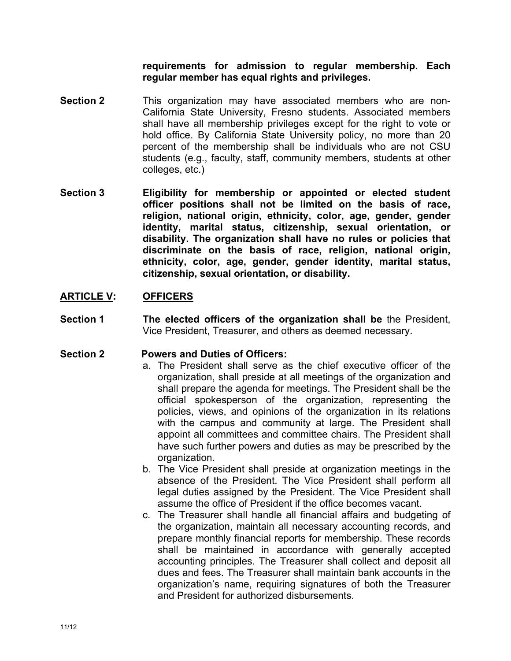**requirements for admission to regular membership. Each regular member has equal rights and privileges.**

- **Section 2** This organization may have associated members who are non-California State University, Fresno students. Associated members shall have all membership privileges except for the right to vote or hold office. By California State University policy, no more than 20 percent of the membership shall be individuals who are not CSU students (e.g., faculty, staff, community members, students at other colleges, etc.)
- **Section 3 Eligibility for membership or appointed or elected student officer positions shall not be limited on the basis of race, religion, national origin, ethnicity, color, age, gender, gender identity, marital status, citizenship, sexual orientation, or disability. The organization shall have no rules or policies that discriminate on the basis of race, religion, national origin, ethnicity, color, age, gender, gender identity, marital status, citizenship, sexual orientation, or disability.**

# **ARTICLE V: OFFICERS**

**Section 1 The elected officers of the organization shall be** the President, Vice President, Treasurer, and others as deemed necessary.

## **Section 2 Powers and Duties of Officers:**

- a. The President shall serve as the chief executive officer of the organization, shall preside at all meetings of the organization and shall prepare the agenda for meetings. The President shall be the official spokesperson of the organization, representing the policies, views, and opinions of the organization in its relations with the campus and community at large. The President shall appoint all committees and committee chairs. The President shall have such further powers and duties as may be prescribed by the organization.
- b. The Vice President shall preside at organization meetings in the absence of the President. The Vice President shall perform all legal duties assigned by the President. The Vice President shall assume the office of President if the office becomes vacant.
- c. The Treasurer shall handle all financial affairs and budgeting of the organization, maintain all necessary accounting records, and prepare monthly financial reports for membership. These records shall be maintained in accordance with generally accepted accounting principles. The Treasurer shall collect and deposit all dues and fees. The Treasurer shall maintain bank accounts in the organization's name, requiring signatures of both the Treasurer and President for authorized disbursements.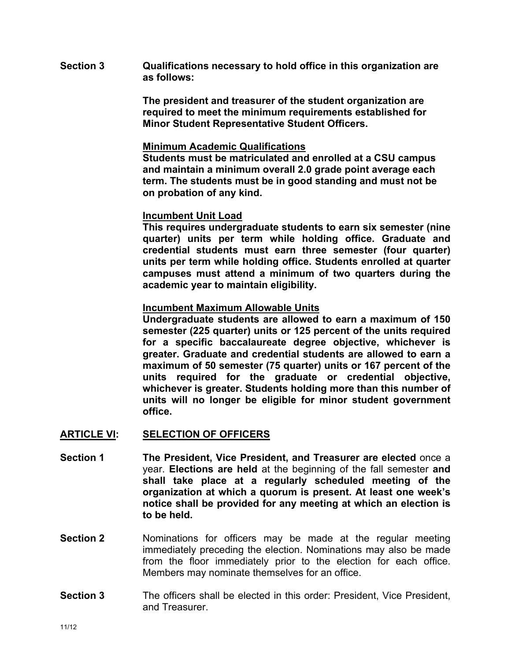**Section 3 Qualifications necessary to hold office in this organization are as follows:**

> **The president and treasurer of the student organization are required to meet the minimum requirements established for Minor Student Representative Student Officers.**

#### **Minimum Academic Qualifications**

**Students must be matriculated and enrolled at a CSU campus and maintain a minimum overall 2.0 grade point average each term. The students must be in good standing and must not be on probation of any kind.**

### **Incumbent Unit Load**

**This requires undergraduate students to earn six semester (nine quarter) units per term while holding office. Graduate and credential students must earn three semester (four quarter) units per term while holding office. Students enrolled at quarter campuses must attend a minimum of two quarters during the academic year to maintain eligibility.**

### **Incumbent Maximum Allowable Units**

**Undergraduate students are allowed to earn a maximum of 150 semester (225 quarter) units or 125 percent of the units required for a specific baccalaureate degree objective, whichever is greater. Graduate and credential students are allowed to earn a maximum of 50 semester (75 quarter) units or 167 percent of the units required for the graduate or credential objective, whichever is greater. Students holding more than this number of units will no longer be eligible for minor student government office.**

#### **ARTICLE VI: SELECTION OF OFFICERS**

- **Section 1 The President, Vice President, and Treasurer are elected** once a year. **Elections are held** at the beginning of the fall semester **and shall take place at a regularly scheduled meeting of the organization at which a quorum is present. At least one week's notice shall be provided for any meeting at which an election is to be held.**
- **Section 2** Nominations for officers may be made at the regular meeting immediately preceding the election. Nominations may also be made from the floor immediately prior to the election for each office. Members may nominate themselves for an office.
- **Section 3** The officers shall be elected in this order: President, Vice President, and Treasurer.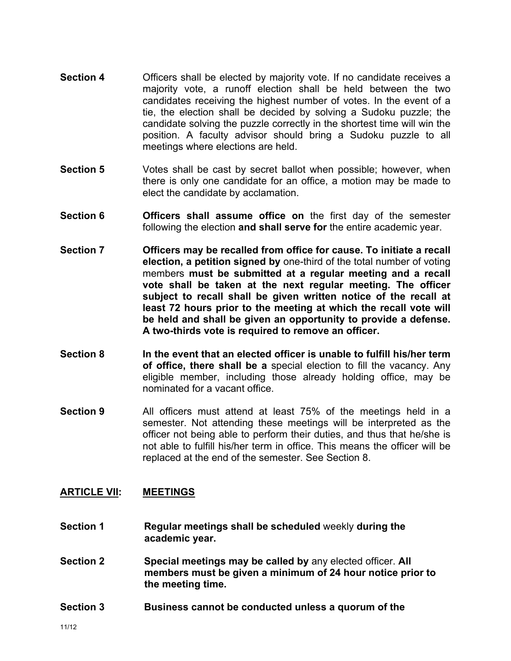- **Section 4** Officers shall be elected by majority vote. If no candidate receives a majority vote, a runoff election shall be held between the two candidates receiving the highest number of votes. In the event of a tie, the election shall be decided by solving a Sudoku puzzle; the candidate solving the puzzle correctly in the shortest time will win the position. A faculty advisor should bring a Sudoku puzzle to all meetings where elections are held.
- **Section 5** Votes shall be cast by secret ballot when possible; however, when there is only one candidate for an office, a motion may be made to elect the candidate by acclamation.
- **Section 6 Officers shall assume office on** the first day of the semester following the election **and shall serve for** the entire academic year.
- **Section 7 Officers may be recalled from office for cause. To initiate a recall election, a petition signed by** one-third of the total number of voting members **must be submitted at a regular meeting and a recall vote shall be taken at the next regular meeting. The officer subject to recall shall be given written notice of the recall at least 72 hours prior to the meeting at which the recall vote will be held and shall be given an opportunity to provide a defense. A two-thirds vote is required to remove an officer.**
- **Section 8 In the event that an elected officer is unable to fulfill his/her term of office, there shall be a** special election to fill the vacancy. Any eligible member, including those already holding office, may be nominated for a vacant office.
- **Section 9** All officers must attend at least 75% of the meetings held in a semester. Not attending these meetings will be interpreted as the officer not being able to perform their duties, and thus that he/she is not able to fulfill his/her term in office. This means the officer will be replaced at the end of the semester. See Section 8.

## **ARTICLE VII: MEETINGS**

- **Section 1 Regular meetings shall be scheduled** weekly **during the academic year.**
- **Section 2 Special meetings may be called by** any elected officer. **All members must be given a minimum of 24 hour notice prior to the meeting time.**
- **Section 3 Business cannot be conducted unless a quorum of the**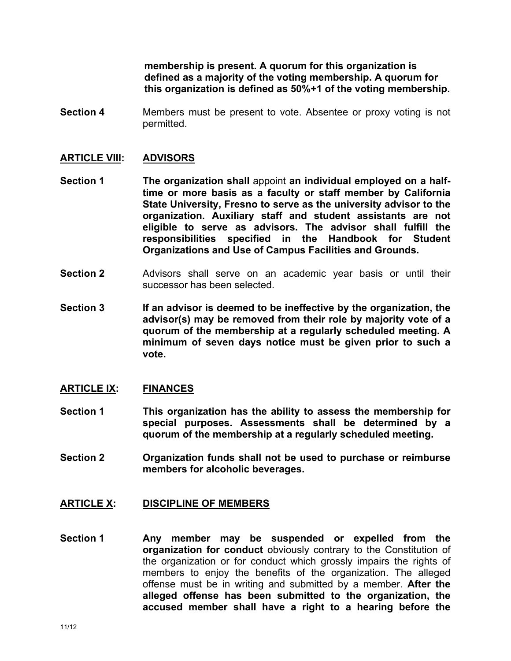**membership is present. A quorum for this organization is defined as a majority of the voting membership. A quorum for this organization is defined as 50%+1 of the voting membership.**

**Section 4** Members must be present to vote. Absentee or proxy voting is not permitted.

### **ARTICLE VIII: ADVISORS**

- **Section 1 The organization shall** appoint **an individual employed on a halftime or more basis as a faculty or staff member by California State University, Fresno to serve as the university advisor to the organization. Auxiliary staff and student assistants are not eligible to serve as advisors. The advisor shall fulfill the responsibilities specified in the Handbook for Student Organizations and Use of Campus Facilities and Grounds.**
- **Section 2** Advisors shall serve on an academic year basis or until their successor has been selected.
- **Section 3 If an advisor is deemed to be ineffective by the organization, the advisor(s) may be removed from their role by majority vote of a quorum of the membership at a regularly scheduled meeting. A minimum of seven days notice must be given prior to such a vote.**

#### **ARTICLE IX: FINANCES**

- **Section 1 This organization has the ability to assess the membership for special purposes. Assessments shall be determined by a quorum of the membership at a regularly scheduled meeting.**
- **Section 2 Organization funds shall not be used to purchase or reimburse members for alcoholic beverages.**

#### **ARTICLE X: DISCIPLINE OF MEMBERS**

**Section 1 Any member may be suspended or expelled from the organization for conduct** obviously contrary to the Constitution of the organization or for conduct which grossly impairs the rights of members to enjoy the benefits of the organization. The alleged offense must be in writing and submitted by a member. **After the alleged offense has been submitted to the organization, the accused member shall have a right to a hearing before the**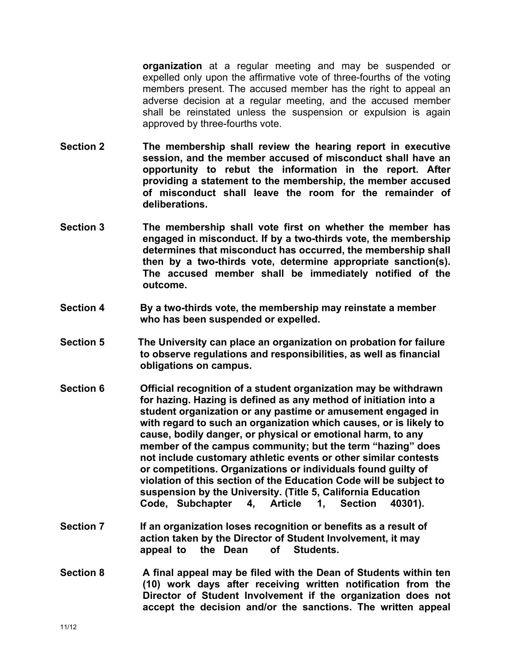**organization** at a regular meeting and may be suspended or expelled only upon the affirmative vote of three-fourths of the voting members present. The accused member has the right to appeal an adverse decision at a regular meeting, and the accused member shall be reinstated unless the suspension or expulsion is again approved by three-fourths vote.

- **Section 2 The membership shall review the hearing report in executive session, and the member accused of misconduct shall have an opportunity to rebut the information in the report. After providing a statement to the membership, the member accused of misconduct shall leave the room for the remainder of deliberations.**
- **Section 3 The membership shall vote first on whether the member has engaged in misconduct. If by a two-thirds vote, the membership determines that misconduct has occurred, the membership shall then by a two-thirds vote, determine appropriate sanction(s). The accused member shall be immediately notified of the outcome.**
- **Section 4 By a two-thirds vote, the membership may reinstate a member who has been suspended or expelled.**
- **Section 5 The University can place an organization on probation for failure to observe regulations and responsibilities, as well as financial obligations on campus.**
- **Section 6 Official recognition of a student organization may be withdrawn for hazing. Hazing is defined as any method of initiation into a student organization or any pastime or amusement engaged in with regard to such an organization which causes, or is likely to cause, bodily danger, or physical or emotional harm, to any member of the campus community; but the term "hazing" does not include customary athletic events or other similar contests or competitions. Organizations or individuals found guilty of violation of this section of the Education Code will be subject to suspension by the University. (Title 5, California Education Code, Subchapter 4, Article 1, Section 40301).**
- **Section 7 If an organization loses recognition or benefits as a result of action taken by the Director of Student Involvement, it may appeal to the Dean of Students.**
- **Section 8 A final appeal may be filed with the Dean of Students within ten (10) work days after receiving written notification from the Director of Student Involvement if the organization does not accept the decision and/or the sanctions. The written appeal**